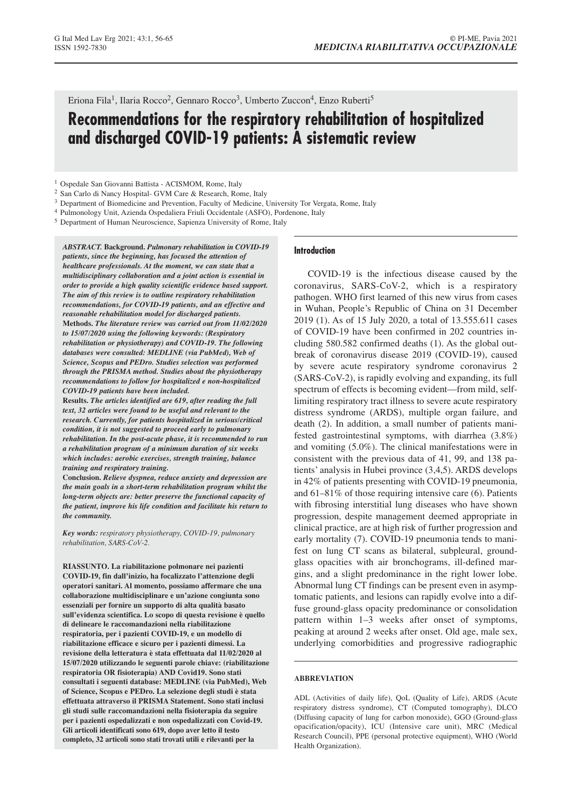Eriona Fila<sup>1</sup>, Ilaria Rocco<sup>2</sup>, Gennaro Rocco<sup>3</sup>, Umberto Zuccon<sup>4</sup>, Enzo Ruberti<sup>5</sup>

# **Recommendations for the respiratory rehabilitation of hospitalized and discharged COVID-19 patients: A sistematic review**

- <sup>2</sup> San Carlo di Nancy Hospital- GVM Care & Research, Rome, Italy
- <sup>3</sup> Department of Biomedicine and Prevention, Faculty of Medicine, University Tor Vergata, Rome, Italy
- <sup>4</sup> Pulmonology Unit, Azienda Ospedaliera Friuli Occidentale (ASFO), Pordenone, Italy
- <sup>5</sup> Department of Human Neuroscience, Sapienza University of Rome, Italy

*ABSTRACT.* **Background.** *Pulmonary rehabilitation in COVID-19 patients, since the beginning, has focused the attention of healthcare professionals. At the moment, we can state that a multidisciplinary collaboration and a joint action is essential in order to provide a high quality scientific evidence based support. The aim of this review is to outline respiratory rehabilitation recommendations, for COVID-19 patients, and an effective and reasonable rehabilitation model for discharged patients.* **Methods.** *The literature review was carried out from 11/02/2020 to 15/07/2020 using the following keywords: (Respiratory rehabilitation or physiotherapy) and COVID-19. The following databases were consulted: MEDLINE (via PubMed), Web of Science, Scopus and PEDro. Studies selection was performed through the PRISMA method. Studies about the physiotherapy recommendations to follow for hospitalized e non-hospitalized COVID-19 patients have been included.*

**Results.** *The articles identified are 619, after reading the full text, 32 articles were found to be useful and relevant to the research. Currently, for patients hospitalized in serious/critical condition, it is not suggested to proceed early to pulmonary rehabilitation. In the post-acute phase, it is recommended to run a rehabilitation program of a minimum duration of six weeks which includes: aerobic exercises, strength training, balance training and respiratory training.*

**Conclusion.** *Relieve dyspnea, reduce anxiety and depression are the main goals in a short-term rehabilitation program whilst the long-term objects are: better preserve the functional capacity of the patient, improve his life condition and facilitate his return to the community.*

*Key words: respiratory physiotherapy, COVID-19, pulmonary rehabilitation, SARS-CoV-2.*

**RIASSUNTO. La riabilitazione polmonare nei pazienti COVID-19, fin dall'inizio, ha focalizzato l'attenzione degli operatori sanitari. Al momento, possiamo affermare che una collaborazione multidisciplinare e un'azione congiunta sono essenziali per fornire un supporto di alta qualità basato sull'evidenza scientifica. Lo scopo di questa revisione è quello di delineare le raccomandazioni nella riabilitazione respiratoria, per i pazienti COVID-19, e un modello di riabilitazione efficace e sicuro per i pazienti dimessi. La revisione della letteratura è stata effettuata dal 11/02/2020 al 15/07/2020 utilizzando le seguenti parole chiave: (riabilitazione respiratoria OR fisioterapia) AND Covid19. Sono stati consultati i seguenti database: MEDLINE (via PubMed), Web of Science, Scopus e PEDro. La selezione degli studi è stata effettuata attraverso il PRISMA Statement. Sono stati inclusi gli studi sulle raccomandazioni nella fisioterapia da seguire per i pazienti ospedalizzati e non ospedalizzati con Covid-19. Gli articoli identificati sono 619, dopo aver letto il testo completo, 32 articoli sono stati trovati utili e rilevanti per la**

#### **Introduction**

COVID-19 is the infectious disease caused by the coronavirus, SARS-CoV-2, which is a respiratory pathogen. WHO first learned of this new virus from cases in Wuhan, People's Republic of China on 31 December 2019 (1). As of 15 July 2020, a total of 13.555.611 cases of COVID-19 have been confirmed in 202 countries including 580.582 confirmed deaths (1). As the global outbreak of coronavirus disease 2019 (COVID-19), caused by severe acute respiratory syndrome coronavirus 2 (SARS-CoV-2), is rapidly evolving and expanding, its full spectrum of effects is becoming evident—from mild, selflimiting respiratory tract illness to severe acute respiratory distress syndrome (ARDS), multiple organ failure, and death (2). In addition, a small number of patients manifested gastrointestinal symptoms, with diarrhea (3.8%) and vomiting (5.0%). The clinical manifestations were in consistent with the previous data of 41, 99, and 138 patients' analysis in Hubei province (3,4,5). ARDS develops in 42% of patients presenting with COVID-19 pneumonia, and 61–81% of those requiring intensive care (6). Patients with fibrosing interstitial lung diseases who have shown progression, despite management deemed appropriate in clinical practice, are at high risk of further progression and early mortality (7). COVID-19 pneumonia tends to manifest on lung CT scans as bilateral, subpleural, groundglass opacities with air bronchograms, ill-defined margins, and a slight predominance in the right lower lobe. Abnormal lung CT findings can be present even in asymptomatic patients, and lesions can rapidly evolve into a diffuse ground-glass opacity predominance or consolidation pattern within 1–3 weeks after onset of symptoms, peaking at around 2 weeks after onset. Old age, male sex, underlying comorbidities and progressive radiographic

#### **ABBREVIATION**

ADL (Activities of daily life), QoL (Quality of Life), ARDS (Acute respiratory distress syndrome), CT (Computed tomography), DLCO (Diffusing capacity of lung for carbon monoxide), GGO (Ground-glass opacification/opacity), ICU (Intensive care unit), MRC (Medical Research Council), PPE (personal protective equipment), WHO (World Health Organization).

<sup>1</sup> Ospedale San Giovanni Battista - ACISMOM, Rome, Italy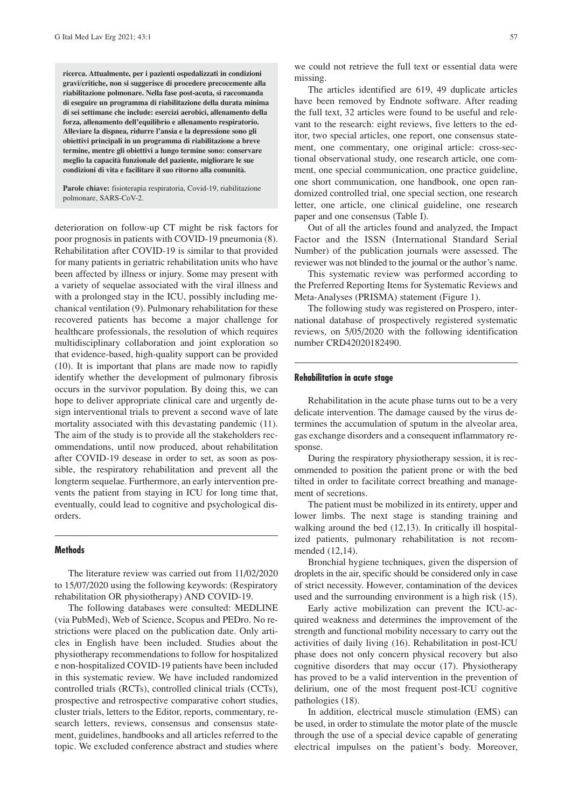**ricerca. Attualmente, per i pazienti ospedalizzati in condizioni gravi/critiche, non si suggerisce di procedere precocemente alla riabilitazione polmonare. Nella fase post-acuta, si raccomanda di eseguire un programma di riabilitazione della durata minima di sei settimane che include: esercizi aerobici, allenamento della forza, allenamento dell'equilibrio e allenamento respiratorio. Alleviare la dispnea, ridurre l'ansia e la depressione sono gli obiettivi principali in un programma di riabilitazione a breve termine, mentre gli obiettivi a lungo termine sono: conservare meglio la capacità funzionale del paziente, migliorare le sue condizioni di vita e facilitare il suo ritorno alla comunità.**

**Parole chiave:** fisioterapia respiratoria, Covid-19, riabilitazione polmonare, SARS-CoV-2.

deterioration on follow-up CT might be risk factors for poor prognosis in patients with COVID-19 pneumonia (8). Rehabilitation after COVID-19 is similar to that provided for many patients in geriatric rehabilitation units who have been affected by illness or injury. Some may present with a variety of sequelae associated with the viral illness and with a prolonged stay in the ICU, possibly including mechanical ventilation (9). Pulmonary rehabilitation for these recovered patients has become a major challenge for healthcare professionals, the resolution of which requires multidisciplinary collaboration and joint exploration so that evidence-based, high-quality support can be provided (10). It is important that plans are made now to rapidly identify whether the development of pulmonary fibrosis occurs in the survivor population. By doing this, we can hope to deliver appropriate clinical care and urgently design interventional trials to prevent a second wave of late mortality associated with this devastating pandemic (11). The aim of the study is to provide all the stakeholders recommendations, until now produced, about rehabilitation after COVID-19 desease in order to set, as soon as possible, the respiratory rehabilitation and prevent all the longterm sequelae. Furthermore, an early intervention prevents the patient from staying in ICU for long time that, eventually, could lead to cognitive and psychological disorders.

#### **Methods**

The literature review was carried out from 11/02/2020 to 15/07/2020 using the following keywords: (Respiratory rehabilitation OR physiotherapy) AND COVID-19.

The following databases were consulted: MEDLINE (via PubMed), Web of Science, Scopus and PEDro. No restrictions were placed on the publication date. Only articles in English have been included. Studies about the physiotherapy recommendations to follow for hospitalized e non-hospitalized COVID-19 patients have been included in this systematic review. We have included randomized controlled trials (RCTs), controlled clinical trials (CCTs), prospective and retrospective comparative cohort studies, cluster trials, letters to the Editor, reports, commentary, research letters, reviews, consensus and consensus statement, guidelines, handbooks and all articles referred to the topic. We excluded conference abstract and studies where we could not retrieve the full text or essential data were missing.

The articles identified are 619, 49 duplicate articles have been removed by Endnote software. After reading the full text, 32 articles were found to be useful and relevant to the research: eight reviews, five letters to the editor, two special articles, one report, one consensus statement, one commentary, one original article: cross-sectional observational study, one research article, one comment, one special communication, one practice guideline, one short communication, one handbook, one open randomized controlled trial, one special section, one research letter, one article, one clinical guideline, one research paper and one consensus (Table I).

Out of all the articles found and analyzed, the Impact Factor and the ISSN (International Standard Serial Number) of the publication journals were assessed. The reviewer was not blinded to the journal or the author's name.

This systematic review was performed according to the Preferred Reporting Items for Systematic Reviews and Meta-Analyses (PRISMA) statement (Figure 1).

The following study was registered on Prospero, international database of prospectively registered systematic reviews, on 5/05/2020 with the following identification number CRD42020182490.

#### **Rehabilitation in acute stage**

Rehabilitation in the acute phase turns out to be a very delicate intervention. The damage caused by the virus determines the accumulation of sputum in the alveolar area, gas exchange disorders and a consequent inflammatory response.

During the respiratory physiotherapy session, it is recommended to position the patient prone or with the bed tilted in order to facilitate correct breathing and management of secretions.

The patient must be mobilized in its entirety, upper and lower limbs. The next stage is standing training and walking around the bed  $(12,13)$ . In critically ill hospitalized patients, pulmonary rehabilitation is not recommended (12,14).

Bronchial hygiene techniques, given the dispersion of droplets in the air, specific should be considered only in case of strict necessity. However, contamination of the devices used and the surrounding environment is a high risk (15).

Early active mobilization can prevent the ICU-acquired weakness and determines the improvement of the strength and functional mobility necessary to carry out the activities of daily living (16). Rehabilitation in post-ICU phase does not only concern physical recovery but also cognitive disorders that may occur (17). Physiotherapy has proved to be a valid intervention in the prevention of delirium, one of the most frequent post-ICU cognitive pathologies (18).

In addition, electrical muscle stimulation (EMS) can be used, in order to stimulate the motor plate of the muscle through the use of a special device capable of generating electrical impulses on the patient's body. Moreover,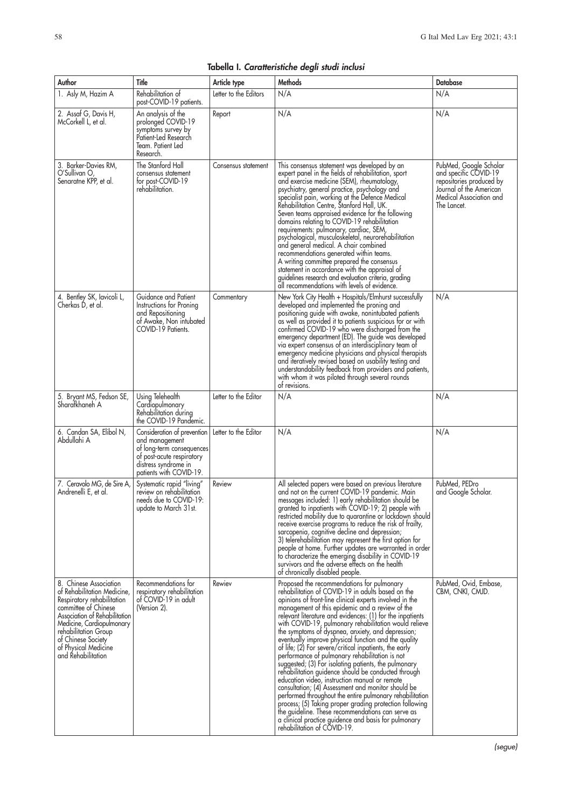| Tabella I. Caratteristiche degli studi inclusi |  |  |  |  |  |
|------------------------------------------------|--|--|--|--|--|
|------------------------------------------------|--|--|--|--|--|

| Author                                                                                                                                                                                                                                                                | Title                                                                                                                                                      | Article type          | Methods                                                                                                                                                                                                                                                                                                                                                                                                                                                                                                                                                                                                                                                                                                                                                                                                                                                                                                                                                                                                                                                  | <b>Database</b>                                                                                                                                  |
|-----------------------------------------------------------------------------------------------------------------------------------------------------------------------------------------------------------------------------------------------------------------------|------------------------------------------------------------------------------------------------------------------------------------------------------------|-----------------------|----------------------------------------------------------------------------------------------------------------------------------------------------------------------------------------------------------------------------------------------------------------------------------------------------------------------------------------------------------------------------------------------------------------------------------------------------------------------------------------------------------------------------------------------------------------------------------------------------------------------------------------------------------------------------------------------------------------------------------------------------------------------------------------------------------------------------------------------------------------------------------------------------------------------------------------------------------------------------------------------------------------------------------------------------------|--------------------------------------------------------------------------------------------------------------------------------------------------|
| 1. Asly M, Hazim A                                                                                                                                                                                                                                                    | Rehabilitation of<br>post-COVID-19 patients.                                                                                                               | Letter to the Editors | N/A                                                                                                                                                                                                                                                                                                                                                                                                                                                                                                                                                                                                                                                                                                                                                                                                                                                                                                                                                                                                                                                      | N/A                                                                                                                                              |
| 2. Assaf G, Davis H,<br>McCorkell L, et al.                                                                                                                                                                                                                           | An analysis of the<br>prolonged COVID-19<br>symptoms survey by<br>Patient-Led Research<br>Team. Patient Led<br>Research.                                   | Report                | N/A                                                                                                                                                                                                                                                                                                                                                                                                                                                                                                                                                                                                                                                                                                                                                                                                                                                                                                                                                                                                                                                      | N/A                                                                                                                                              |
| 3. Barker-Davies RM,<br>O'Sullivan O<br>Senaratne KPP, et al.                                                                                                                                                                                                         | The Stanford Hall<br>consensus statement<br>for post-COVID-19<br>rehabilitation.                                                                           | Consensus statement   | This consensus statement was developed by an<br>expert panel in the fields of rehabilitation, sport<br>and exercise medicine (SEM), rheumatology,<br>psychiatry, general practice, psychology and<br>specialist pain, working at the Defence Medical<br>Rehabilitation Centre, Stanford Hall, UK.<br>Seven teams appraised evidence for the following<br>domains relating to COVID-19 rehabilitation<br>requirements: pulmonary, cardiac, SEM,<br>psychological, musculoskeletal, neurorehabilitation<br>and general medical. A chair combined<br>recommendations generated within teams.<br>A writing committee prepared the consensus<br>statement in accordance with the appraisal of<br>guidelines research and evaluation criteria, grading<br>all recommendations with levels of evidence.                                                                                                                                                                                                                                                         | PubMed, Google Scholar<br>and specific COVID-19<br>repositories produced by<br>Journal of the American<br>Medical Association and<br>The Lancet. |
| 4. Bentley SK, lavicoli L,<br>Cherkas D, et al.                                                                                                                                                                                                                       | Guidance and Patient<br>Instructions for Proning<br>and Repositioning<br>of Awake, Non intubated<br>COVID-19 Patients.                                     | Commentary            | New York City Health + Hospitals/Elmhurst successfully<br>developed and implemented the proning and<br>positioning guide with awake, nonintubated patients<br>as well as provided it to patients suspicious for or with<br>confirmed COVID-19 who were discharged from the<br>emergency department (ED). The guide was developed<br>via expert consensus of an interdisciplinary team of<br>emergency medicine physicians and physical therapists<br>and iferatively revised based on usability testing and<br>understandability feedback from providers and patients,<br>with whom it was piloted through several rounds<br>of revisions.                                                                                                                                                                                                                                                                                                                                                                                                               | N/A                                                                                                                                              |
| 5. Bryant MS, Fedson SE,<br>Sharafkhaneh A                                                                                                                                                                                                                            | Using Telehealth<br>Cardiopulmonary<br>Rehabilitation during<br>the COVID-19 Pandemic.                                                                     | Letter to the Editor  | N/A                                                                                                                                                                                                                                                                                                                                                                                                                                                                                                                                                                                                                                                                                                                                                                                                                                                                                                                                                                                                                                                      | N/A                                                                                                                                              |
| 6. Candan SA, Elibol N,<br>Abdullahi A                                                                                                                                                                                                                                | Consideration of prevention<br>and management<br>of long-term consequences<br>of post-acute respiratory<br>distress syndrome in<br>patients with COVID-19. | Letter to the Editor  | N/A                                                                                                                                                                                                                                                                                                                                                                                                                                                                                                                                                                                                                                                                                                                                                                                                                                                                                                                                                                                                                                                      | N/A                                                                                                                                              |
| 7. Ceravolo MG, de Sire A.<br>Andrenelli E, et al.                                                                                                                                                                                                                    | Systematic rapid "living"<br>review on rehabilitation<br>needs due to COVID-19:<br>update to March 31st.                                                   | Review                | All selected papers were based on previous literature<br>and not on the current COVID-19 pandemic. Main<br>messages included: 1) early rehabilitation should be<br>granted to inpatients with COVID-19; 2) people with<br>restricted mobility due to quarantine or lockdown should<br>receive exercise programs to reduce the risk of frailty,<br>sarcopenia, cognitive decline and depression;<br>3) telerehabilitation may represent the first option for<br>people at home. Further updates are warranted in order<br>to characterize the emerging disability in COVID-19<br>survivors and the adverse effects on the health<br>of chronically disabled people.                                                                                                                                                                                                                                                                                                                                                                                       | PubMed, PEDro<br>and Google Scholar.                                                                                                             |
| 8. Chinese Association<br>of Rehabilitation Medicine,<br>Respiratory rehabilitation<br>committee of Chinese<br>Association of Rehabilitation<br>Medicine, Cardiopulmonary<br>rehabilitation Group<br>of Chinese Society<br>of Physical Medicine<br>and Rehabilitation | Recommendations for<br>respiratory rehabilitation<br>of COVID-19 in adult<br>(Version 2).                                                                  | Rewiev                | Proposed the recommendations for pulmonary<br>rehabilitation of COVID-19 in adults based on the<br>opinions of front-line clinical experts involved in the<br>management of this epidemic and a review of the<br>relevant literature and evidences: (1) for the inpatients<br>with COVID-19, pulmonary rehabilitation would relieve<br>the symptoms of dyspnea, anxiety, and depression;<br>eventually improve physical function and the quality<br>of life; (2) For severe/critical inpatients, the early<br>performance of pulmonary rehabilitation is not<br>suggested; (3) For isolating patients, the pulmonary<br>rehabilitation guidence should be conducted through<br>education video, instruction manual or remote<br>consultation; (4) Assessment and monitor should be<br>performed throughout the entire pulmonary rehabilitation<br>$process$ ; (5) Taking proper grading protection following<br>the guideline. These recommendations can serve as<br>a clinical practice guidence and basis for pulmonary<br>rehabilitation of COVID-19. | PubMed, Ovid, Embase,<br>CBM, CNKI, CMJD.                                                                                                        |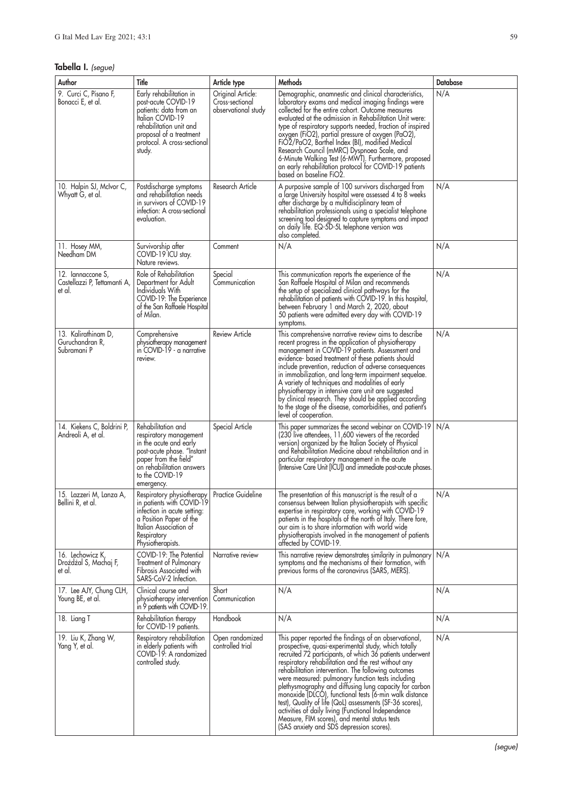## **Tabella I.** (segue)

| Author                                                      | Title                                                                                                                                                                                       | Article type                                                | Methods                                                                                                                                                                                                                                                                                                                                                                                                                                                                                                                                                                                                                                                                           | Database |
|-------------------------------------------------------------|---------------------------------------------------------------------------------------------------------------------------------------------------------------------------------------------|-------------------------------------------------------------|-----------------------------------------------------------------------------------------------------------------------------------------------------------------------------------------------------------------------------------------------------------------------------------------------------------------------------------------------------------------------------------------------------------------------------------------------------------------------------------------------------------------------------------------------------------------------------------------------------------------------------------------------------------------------------------|----------|
| 9. Curci C, Pisano F,<br>Bonacci E, et al.                  | Early rehabilitation in<br>post-acute COVID-19<br>patients: data from an<br>Italian COVID-19<br>rehabilitation unit and<br>proposal of a treatment<br>protocol. A cross-sectional<br>study. | Original Article:<br>Cross-sectional<br>observational study | Demographic, anamnestic and clinical characteristics,<br>laboratory exams and medical imaging findings were<br>collected for the entire cohort. Outcome measures<br>evaluated at the admission in Rehabilitation Unit were:<br>type of respiratory supports needed, fraction of inspired<br>oxygen (FiO2), partial pressure of oxygen (PaO2),<br>FiÓŽ/PaO2, Barthel Index (BI), modified Medical<br>Research Council (mMRC) Dyspnoea Scale, and<br>6-Minute Walking Test (6-MWT). Furthermore, proposed<br>an early rehabilitation protocol for COVID-19 patients<br>based on baseline FiO2.                                                                                      | N/A      |
| 10. Halpin SJ, McIvor C,<br>Whyatt G, et al.                | Postdischarge symptoms<br>and rehabilitation needs<br>in survivors of COVID-19<br>infection: A cross-sectional<br>evaluation.                                                               | Research Article                                            | A purposive sample of 100 survivors discharged from<br>a large University hospital were assessed 4 to 8 weeks<br>after discharge by a multidisciplinary team of<br>rehabilitation professionals using a specialist telephone<br>screening tool designed to capture symptoms and impact<br>on daily life. EQ-5D-5L telephone version was<br>also completed.                                                                                                                                                                                                                                                                                                                        | N/A      |
| 11. Hosey MM,<br>Needham DM                                 | Survivorship after<br>COVID-19 ICU stay.<br>Nature reviews.                                                                                                                                 | Comment                                                     | N/A                                                                                                                                                                                                                                                                                                                                                                                                                                                                                                                                                                                                                                                                               | N/A      |
| 12. Iannaccone S,<br>Castellazzi P, Tettamanti A,<br>et al. | Role of Rehabilitation<br>Department for Adult<br>Individuals With<br>COVID-19: The Experience<br>of the San Raffaele Hospital<br>ot Milan.                                                 | Special<br>Communication                                    | This communication reports the experience of the<br>San Raffaele Hospital of Milan and recommends<br>the setup of specialized clinical pathways for the<br>rehabilitation of patients with COVID-19. In this hospital,<br>between February 1 and March 2, 2020, about<br>50 patients were admitted every day with COVID-19<br>symptoms.                                                                                                                                                                                                                                                                                                                                           | N/A      |
| 13. Kalirathinam D,<br>Guruchandran R,<br>Subramani P       | Comprehensive<br>physiotherapy management<br>in COVID-19 - a narrative<br>review.                                                                                                           | Review Article                                              | This comprehensive narrative review aims to describe<br>recent progress in the application of physiotherapy<br>management in COVID-19 patients. Assessment and<br>evidence- based treatment of these patients should<br>include prevention, reduction of adverse consequences<br>in immobilization, and long-term impairment sequelae.<br>A variety of techniques and modalities of early<br>physiotherapy in intensive care unit are suggested<br>by clinical research. They should be applied according<br>to the stage of the disease, comorbidities, and patient's<br>level of cooperation.                                                                                   | N/A      |
| 14. Kiekens C, Boldrini P,<br>Andreoli A, et al.            | Rehabilitation and<br>respiratory management<br>in the acute and early<br>post-acute phase. "Instant<br>paper from the field"<br>on rehabilitation answers<br>to the COVID-19<br>emergency. | Special Article                                             | This paper summarizes the second webinar on COVID-19<br>(230 live attendees, 11,600 viewers of the recorded<br>version) organized by the Italian Society of Physical<br>and Rehabilitation Medicine about rehabilitation and in<br>particular respiratory management in the acute<br>(Intensive Care Unit [ICU]) and immediate post-acute phases.                                                                                                                                                                                                                                                                                                                                 | N/A      |
| 15. Lazzeri M, Lanza A,<br>Bellini R, et al.                | Respiratory physiotherapy<br>in patients with COVID-19<br>infection in acute setting:<br>a Position Paper of the<br>Italian Association of<br>Respiratory<br>Physiotherapists.              | <b>Practice Guideline</b>                                   | The presentation of this manuscript is the result of a<br>consensus between Italian physiotherapists with specific<br>expertise in respiratory care, working with COVID-19<br>patients in the hospitals of the north of Italy. There fore,<br>our aim is to share information with world wide<br>physiotherapists involved in the management of patients<br>affected by COVID-19.                                                                                                                                                                                                                                                                                                 | N/A      |
| 16. Lechowicz K,<br>Drożdżal S, Machaj F,<br>et al.         | COVID-19: The Potential<br>Treatment of Pulmonary<br>Fibrosis Associated with<br>SARS-CoV-2 Infection.                                                                                      | Narrative review                                            | This narrative review demonstrates similarity in pulmonary<br>symptoms and the mechanisms of their formation, with<br>previous forms of the coronavirus (SARS, MERS).                                                                                                                                                                                                                                                                                                                                                                                                                                                                                                             | N/A      |
| 17. Lee AJY, Chung CLH,<br>Young BE, et al.                 | Clinical course and<br>physiotherapy intervention<br>in 9 patients with COVID-19.                                                                                                           | Short<br>Communication                                      | N/A                                                                                                                                                                                                                                                                                                                                                                                                                                                                                                                                                                                                                                                                               | N/A      |
| 18. Liang T                                                 | Rehabilitation therapy<br>for COVID-19 patients.                                                                                                                                            | Handbook                                                    | N/A                                                                                                                                                                                                                                                                                                                                                                                                                                                                                                                                                                                                                                                                               | N/A      |
| 19. Liu K, Zhang W,<br>Yang Y, et al.                       | Respiratory rehabilitation<br>in elderly patients with<br>COVID-19: A randomized<br>controlled study.                                                                                       | Open randomized<br>controlled trial                         | This paper reported the findings of an observational,<br>prospective, quasi-experimental study, which totally<br>recruited 72 participants, of which 36 patients underwent<br>respiratory rehabilitation and the rest without any<br>rehabilitation intervention. The following outcomes<br>were measured: pulmonary function tests including<br>plethysmography and diffusing lung capacity for carbon<br>monoxide (DLCO), functional tests (6-min walk distance<br>test), Quality of life (QoL) assessments (SF-36 scores),<br>activities of daily living (Functional Independence<br>Measure, FIM scores), and mental status tests<br>(SAS anxiety and SDS depression scores). | N/A      |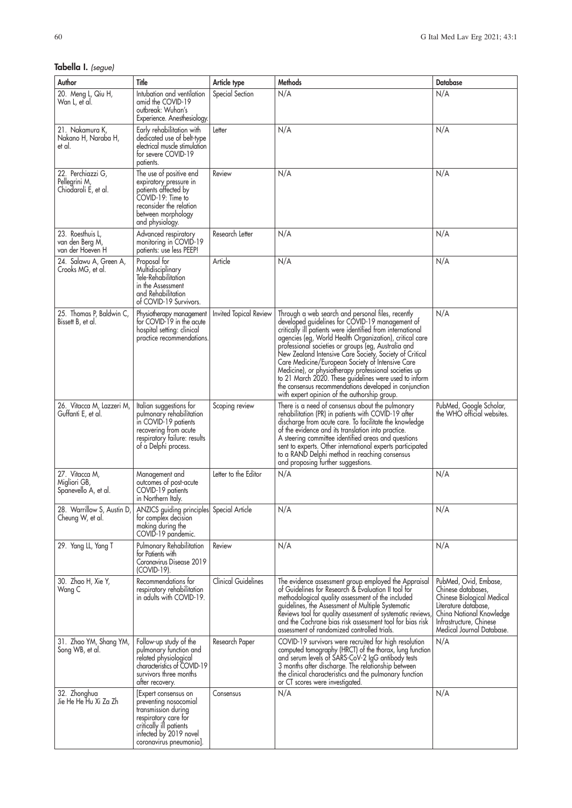### **Tabella I.** (segue)

| Author                                                     | Title                                                                                                                                                                        | Article type               | Methods                                                                                                                                                                                                                                                                                                                                                                                                                                                                                                                                                                                                                          | <b>Database</b>                                                                                                                                                                       |
|------------------------------------------------------------|------------------------------------------------------------------------------------------------------------------------------------------------------------------------------|----------------------------|----------------------------------------------------------------------------------------------------------------------------------------------------------------------------------------------------------------------------------------------------------------------------------------------------------------------------------------------------------------------------------------------------------------------------------------------------------------------------------------------------------------------------------------------------------------------------------------------------------------------------------|---------------------------------------------------------------------------------------------------------------------------------------------------------------------------------------|
| 20. Meng L, Qiu H,<br>Wan L, et al.                        | Intubation and ventilation<br>amid the COVID-19<br>outbreak: Wuhan's<br>Experience. Anesthesiology.                                                                          | Special Section            | N/A                                                                                                                                                                                                                                                                                                                                                                                                                                                                                                                                                                                                                              | N/A                                                                                                                                                                                   |
| 21. Nakamura K,<br>Nakano H, Naraba H,<br>et al.           | Early rehabilitation with<br>dedicated use of belt-type<br>electrical muscle stimulation<br>for severe COVID-19<br>patients.                                                 | Letter                     | N/A                                                                                                                                                                                                                                                                                                                                                                                                                                                                                                                                                                                                                              | N/A                                                                                                                                                                                   |
| 22. Perchiazzi G,<br>Pellegrini M,<br>Chiodaroli E, et al. | The use of positive end<br>expiratory pressure in<br>patients affected by<br>COVID-19: Time to<br>reconsider the relation<br>between morphology<br>and physiology.           | Review                     | N/A                                                                                                                                                                                                                                                                                                                                                                                                                                                                                                                                                                                                                              | N/A                                                                                                                                                                                   |
| 23. Roesthuis L,<br>van den Berg M,<br>van der Hoeven H    | Advanced respiratory<br>monitoring in COVID-19<br>patients: use less PEEP!                                                                                                   | Research Letter            | N/A                                                                                                                                                                                                                                                                                                                                                                                                                                                                                                                                                                                                                              | N/A                                                                                                                                                                                   |
| 24. Salawu A, Green A,<br>Crooks MG, et al.                | Proposal for<br>Multidisciplinary<br>Tele-Rehabilitation<br>in the Assessment<br>and Rehabilitation<br>of COVID-19 Survivors.                                                | Article                    | N/A                                                                                                                                                                                                                                                                                                                                                                                                                                                                                                                                                                                                                              | N/A                                                                                                                                                                                   |
| 25. Thomas P, Baldwin C,<br>Bissett B, et al.              | Physiotherapy management<br>for COVID-19 in the acute<br>hospital setting: clinical<br>practice recommendations.                                                             | Invited Topical Review     | Through a web search and personal files, recently<br>developed guidelines for COVID-19 management of<br>critically ill patients were identified from international<br>agencies (eg, World Health Organization), critical care<br>professional societies or groups (eg, Australia and<br>New Zealand Intensive Care Society, Society of Critical<br>Care Medicine/European Society of Intensive Care<br>Medicine), or physiotherapy professional societies up<br>to 21 March 2020. These guidelines were used to inform<br>the consensus recommendations developed in conjunction<br>with expert opinion of the authorship group. | N/A                                                                                                                                                                                   |
| 26. Vitacca M, Lazzeri M,<br>Guffanti E, et al.            | Italian suggestions for<br>pulmonary rehabilitation<br>in COVID-19 patients<br>recovering from acute<br>respiratory failure: results<br>of a Delphi process.                 | Scoping review             | There is a need of consensus about the pulmonary<br>rehabilitation (PR) in patients with COVID-19 after<br>discharge from acute care. To facilitate the knowledge<br>of the evidence and its translation into practice.<br>A steering committee identified areas and questions<br>sent to experts. Other international experts participated<br>to a RAND Delphi method in reaching consensus<br>and proposing further suggestions.                                                                                                                                                                                               | PubMed, Google Scholar,<br>the WHO official websites.                                                                                                                                 |
| 27. Vitacca M,<br>Migliori GB,<br>Spanevello A, et al.     | Management and<br>outcomes of post-acute<br>COVID-19 patients<br>in Northern Italy.                                                                                          | Letter to the Editor       | N/A                                                                                                                                                                                                                                                                                                                                                                                                                                                                                                                                                                                                                              | N/A                                                                                                                                                                                   |
| 28. Warrillow S, Austin D,<br>Cheung W, et al.             | ANZICS guiding principles Special Article<br>for complex decision<br>making during the<br>COVID-19 pandemic.                                                                 |                            | N/A                                                                                                                                                                                                                                                                                                                                                                                                                                                                                                                                                                                                                              | N/A                                                                                                                                                                                   |
| 29. Yang LL, Yang T                                        | Pulmonary Rehabilitation<br>for Patients with<br>Coronavirus Disease 2019<br>(COVID-19).                                                                                     | Review                     | N/A                                                                                                                                                                                                                                                                                                                                                                                                                                                                                                                                                                                                                              | N/A                                                                                                                                                                                   |
| 30. Zhao H, Xie Y,<br>Wang C                               | Recommendations for<br>respiratory rehabilitation<br>in adults with COVID-19.                                                                                                | <b>Clinical Guidelines</b> | The evidence assessment group employed the Appraisal<br>of Guidelines for Research & Evaluation II tool for<br>methodological quality assessment of the included<br>guidelines, the Assessment of Multiple Systematic<br>Reviews tool for quality assessment of systematic reviews,<br>and the Cochrane bias risk assessment tool for bias risk<br>assessment of randomized controlled trials.                                                                                                                                                                                                                                   | PubMed, Ovid, Embase,<br>Chinese databases,<br>Chinese Biological Medical<br>Literature database,<br>China National Knowledge<br>Infrastructure, Chinese<br>Medical Journal Database. |
| 31. Zhao YM, Shang YM,<br>Song WB, et al.                  | Follow-up study of the<br>pulmonary function and<br>related physiological<br>characteristics of COVID-19<br>survivors three months<br>atter recovery.                        | Research Paper             | COVID-19 survivors were recruited for high resolution<br>computed tomography (HRCT) of the thorax, lung function<br>and serum levels of SARS-CoV-2 IgG antibody tests<br>3 months after discharge. The relationship between<br>the clinical characteristics and the pulmonary function<br>or CT scores were investigated.                                                                                                                                                                                                                                                                                                        | N/A                                                                                                                                                                                   |
| 32. Zhonghua<br>Jie He He Hu Xi Za Zh                      | [Expert consensus on<br>preventing nosocomial<br>transmission during<br>respiratory care for<br>critically ill patients<br>infected by 2019 novel<br>coronavirus pneumonia]. | Consensus                  | N/A                                                                                                                                                                                                                                                                                                                                                                                                                                                                                                                                                                                                                              | N/A                                                                                                                                                                                   |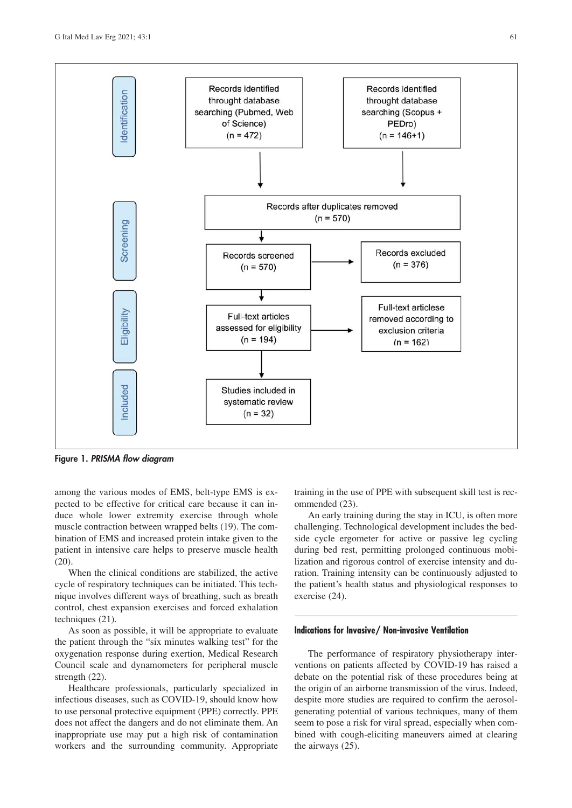

**Figure 1.** *PRISMA flow diagram*

among the various modes of EMS, belt-type EMS is expected to be effective for critical care because it can induce whole lower extremity exercise through whole muscle contraction between wrapped belts (19). The combination of EMS and increased protein intake given to the patient in intensive care helps to preserve muscle health  $(20).$ 

When the clinical conditions are stabilized, the active cycle of respiratory techniques can be initiated. This technique involves different ways of breathing, such as breath control, chest expansion exercises and forced exhalation techniques (21).

As soon as possible, it will be appropriate to evaluate the patient through the "six minutes walking test" for the oxygenation response during exertion, Medical Research Council scale and dynamometers for peripheral muscle strength (22).

Healthcare professionals, particularly specialized in infectious diseases, such as COVID-19, should know how to use personal protective equipment (PPE) correctly. PPE does not affect the dangers and do not eliminate them. An inappropriate use may put a high risk of contamination workers and the surrounding community. Appropriate training in the use of PPE with subsequent skill test is recommended (23).

An early training during the stay in ICU, is often more challenging. Technological development includes the bedside cycle ergometer for active or passive leg cycling during bed rest, permitting prolonged continuous mobilization and rigorous control of exercise intensity and duration. Training intensity can be continuously adjusted to the patient's health status and physiological responses to exercise (24).

#### **Indications for Invasive/ Non-invasive Ventilation**

The performance of respiratory physiotherapy interventions on patients affected by COVID-19 has raised a debate on the potential risk of these procedures being at the origin of an airborne transmission of the virus. Indeed, despite more studies are required to confirm the aerosolgenerating potential of various techniques, many of them seem to pose a risk for viral spread, especially when combined with cough-eliciting maneuvers aimed at clearing the airways (25).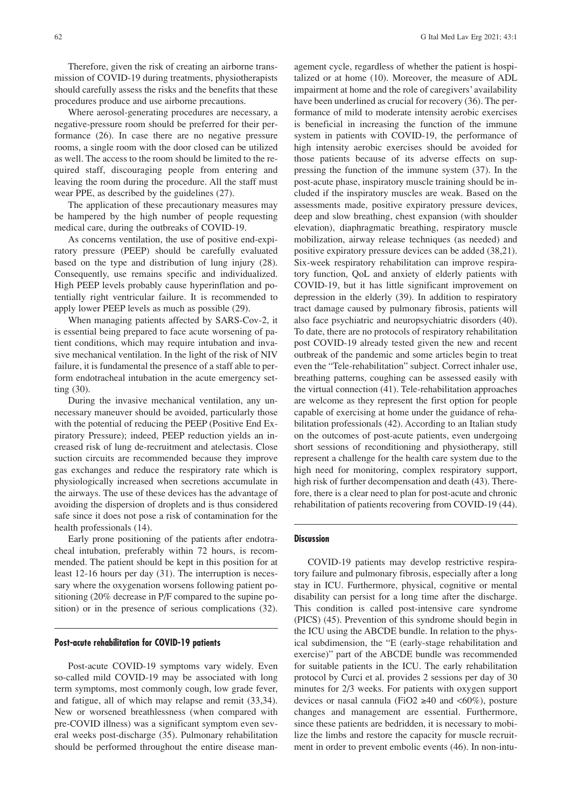procedures produce and use airborne precautions. Where aerosol-generating procedures are necessary, a negative-pressure room should be preferred for their performance (26). In case there are no negative pressure rooms, a single room with the door closed can be utilized as well. The access to the room should be limited to the required staff, discouraging people from entering and leaving the room during the procedure. All the staff must wear PPE, as described by the guidelines (27).

should carefully assess the risks and the benefits that these

The application of these precautionary measures may be hampered by the high number of people requesting medical care, during the outbreaks of COVID-19.

As concerns ventilation, the use of positive end-expiratory pressure (PEEP) should be carefully evaluated based on the type and distribution of lung injury (28). Consequently, use remains specific and individualized. High PEEP levels probably cause hyperinflation and potentially right ventricular failure. It is recommended to apply lower PEEP levels as much as possible (29).

When managing patients affected by SARS-Cov-2, it is essential being prepared to face acute worsening of patient conditions, which may require intubation and invasive mechanical ventilation. In the light of the risk of NIV failure, it is fundamental the presence of a staff able to perform endotracheal intubation in the acute emergency setting (30).

During the invasive mechanical ventilation, any unnecessary maneuver should be avoided, particularly those with the potential of reducing the PEEP (Positive End Expiratory Pressure); indeed, PEEP reduction yields an increased risk of lung de-recruitment and atelectasis. Close suction circuits are recommended because they improve gas exchanges and reduce the respiratory rate which is physiologically increased when secretions accumulate in the airways. The use of these devices has the advantage of avoiding the dispersion of droplets and is thus considered safe since it does not pose a risk of contamination for the health professionals (14).

Early prone positioning of the patients after endotracheal intubation, preferably within 72 hours, is recommended. The patient should be kept in this position for at least 12-16 hours per day (31). The interruption is necessary where the oxygenation worsens following patient positioning (20% decrease in P/F compared to the supine position) or in the presence of serious complications (32).

#### **Post-acute rehabilitation for COVID-19 patients**

Post-acute COVID-19 symptoms vary widely. Even so-called mild COVID-19 may be associated with long term symptoms, most commonly cough, low grade fever, and fatigue, all of which may relapse and remit (33,34). New or worsened breathlessness (when compared with pre-COVID illness) was a significant symptom even several weeks post-discharge (35). Pulmonary rehabilitation should be performed throughout the entire disease management cycle, regardless of whether the patient is hospitalized or at home (10). Moreover, the measure of ADL impairment at home and the role of caregivers' availability have been underlined as crucial for recovery (36). The performance of mild to moderate intensity aerobic exercises is beneficial in increasing the function of the immune system in patients with COVID-19, the performance of high intensity aerobic exercises should be avoided for those patients because of its adverse effects on suppressing the function of the immune system (37). In the post-acute phase, inspiratory muscle training should be included if the inspiratory muscles are weak. Based on the assessments made, positive expiratory pressure devices, deep and slow breathing, chest expansion (with shoulder elevation), diaphragmatic breathing, respiratory muscle mobilization, airway release techniques (as needed) and positive expiratory pressure devices can be added (38,21). Six-week respiratory rehabilitation can improve respiratory function, QoL and anxiety of elderly patients with COVID-19, but it has little significant improvement on depression in the elderly (39). In addition to respiratory tract damage caused by pulmonary fibrosis, patients will also face psychiatric and neuropsychiatric disorders (40). To date, there are no protocols of respiratory rehabilitation post COVID-19 already tested given the new and recent outbreak of the pandemic and some articles begin to treat even the "Tele-rehabilitation" subject. Correct inhaler use, breathing patterns, coughing can be assessed easily with the virtual connection (41). Tele-rehabilitation approaches are welcome as they represent the first option for people capable of exercising at home under the guidance of rehabilitation professionals (42). According to an Italian study on the outcomes of post-acute patients, even undergoing short sessions of reconditioning and physiotherapy, still represent a challenge for the health care system due to the high need for monitoring, complex respiratory support, high risk of further decompensation and death (43). Therefore, there is a clear need to plan for post-acute and chronic rehabilitation of patients recovering from COVID-19 (44).

#### **Discussion**

COVID-19 patients may develop restrictive respiratory failure and pulmonary fibrosis, especially after a long stay in ICU. Furthermore, physical, cognitive or mental disability can persist for a long time after the discharge. This condition is called post-intensive care syndrome (PICS) (45). Prevention of this syndrome should begin in the ICU using the ABCDE bundle. In relation to the physical subdimension, the "E (early-stage rehabilitation and exercise)" part of the ABCDE bundle was recommended for suitable patients in the ICU. The early rehabilitation protocol by Curci et al. provides 2 sessions per day of 30 minutes for 2/3 weeks. For patients with oxygen support devices or nasal cannula (FiO2  $\geq$ 40 and <60%), posture changes and management are essential. Furthermore, since these patients are bedridden, it is necessary to mobilize the limbs and restore the capacity for muscle recruitment in order to prevent embolic events (46). In non-intu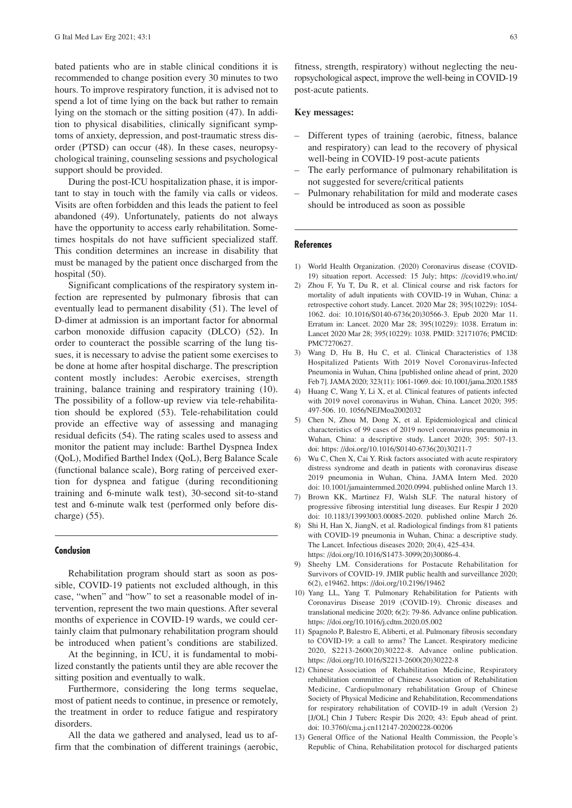bated patients who are in stable clinical conditions it is recommended to change position every 30 minutes to two hours. To improve respiratory function, it is advised not to spend a lot of time lying on the back but rather to remain lying on the stomach or the sitting position (47). In addition to physical disabilities, clinically significant symptoms of anxiety, depression, and post-traumatic stress disorder (PTSD) can occur (48). In these cases, neuropsychological training, counseling sessions and psychological support should be provided.

During the post-ICU hospitalization phase, it is important to stay in touch with the family via calls or videos. Visits are often forbidden and this leads the patient to feel abandoned (49). Unfortunately, patients do not always have the opportunity to access early rehabilitation. Sometimes hospitals do not have sufficient specialized staff. This condition determines an increase in disability that must be managed by the patient once discharged from the hospital (50).

Significant complications of the respiratory system infection are represented by pulmonary fibrosis that can eventually lead to permanent disability (51). The level of D-dimer at admission is an important factor for abnormal carbon monoxide diffusion capacity (DLCO) (52). In order to counteract the possible scarring of the lung tissues, it is necessary to advise the patient some exercises to be done at home after hospital discharge. The prescription content mostly includes: Aerobic exercises, strength training, balance training and respiratory training (10). The possibility of a follow-up review via tele-rehabilitation should be explored (53). Tele-rehabilitation could provide an effective way of assessing and managing residual deficits (54). The rating scales used to assess and monitor the patient may include: Barthel Dyspnea Index (QoL), Modified Barthel Index (QoL), Berg Balance Scale (functional balance scale), Borg rating of perceived exertion for dyspnea and fatigue (during reconditioning training and 6-minute walk test), 30-second sit-to-stand test and 6-minute walk test (performed only before discharge) (55).

#### **Conclusion**

Rehabilitation program should start as soon as possible, COVID-19 patients not excluded although, in this case, "when" and "how" to set a reasonable model of intervention, represent the two main questions. After several months of experience in COVID-19 wards, we could certainly claim that pulmonary rehabilitation program should be introduced when patient's conditions are stabilized.

At the beginning, in ICU, it is fundamental to mobilized constantly the patients until they are able recover the sitting position and eventually to walk.

Furthermore, considering the long terms sequelae, most of patient needs to continue, in presence or remotely, the treatment in order to reduce fatigue and respiratory disorders.

All the data we gathered and analysed, lead us to affirm that the combination of different trainings (aerobic,

#### **Key messages:**

- Different types of training (aerobic, fitness, balance and respiratory) can lead to the recovery of physical well-being in COVID-19 post-acute patients
- The early performance of pulmonary rehabilitation is not suggested for severe/critical patients
- Pulmonary rehabilitation for mild and moderate cases should be introduced as soon as possible

#### **References**

- 1) World Health Organization. (2020) Coronavirus disease (COVID-19) situation report. Accessed: 15 July; https: //covid19.who.int/
- 2) Zhou F, Yu T, Du R, et al. Clinical course and risk factors for mortality of adult inpatients with COVID-19 in Wuhan, China: a retrospective cohort study. Lancet. 2020 Mar 28; 395(10229): 1054- 1062. doi: 10.1016/S0140-6736(20)30566-3. Epub 2020 Mar 11. Erratum in: Lancet. 2020 Mar 28; 395(10229): 1038. Erratum in: Lancet 2020 Mar 28; 395(10229): 1038. PMID: 32171076; PMCID: PMC7270627.
- 3) Wang D, Hu B, Hu C, et al. Clinical Characteristics of 138 Hospitalized Patients With 2019 Novel Coronavirus-Infected Pneumonia in Wuhan, China [published online ahead of print, 2020 Feb 7]. JAMA 2020; 323(11): 1061-1069. doi: 10.1001/jama.2020.1585
- 4) Huang C, Wang Y, Li X, et al. Clinical features of patients infected with 2019 novel coronavirus in Wuhan, China. Lancet 2020; 395: 497-506. 10. 1056/NEJMoa2002032
- 5) Chen N, Zhou M, Dong X, et al. Epidemiological and clinical characteristics of 99 cases of 2019 novel coronavirus pneumonia in Wuhan, China: a descriptive study. Lancet 2020; 395: 507-13. doi: https: //doi.org/10.1016/S0140-6736(20)30211-7
- 6) Wu C, Chen X, Cai Y. Risk factors associated with acute respiratory distress syndrome and death in patients with coronavirus disease 2019 pneumonia in Wuhan, China. JAMA Intern Med. 2020 doi: 10.1001/jamainternmed.2020.0994. published online March 13.
- 7) Brown KK, Martinez FJ, Walsh SLF. The natural history of progressive fibrosing interstitial lung diseases. Eur Respir J 2020 doi: 10.1183/13993003.00085-2020. published online March 26.
- 8) Shi H, Han X, JiangN, et al. Radiological findings from 81 patients with COVID-19 pneumonia in Wuhan, China: a descriptive study. The Lancet. Infectious diseases 2020; 20(4), 425-434. https: //doi.org/10.1016/S1473-3099(20)30086-4.
- 9) Sheehy LM. Considerations for Postacute Rehabilitation for Survivors of COVID-19. JMIR public health and surveillance 2020; 6(2), e19462. https: //doi.org/10.2196/19462
- 10) Yang LL, Yang T. Pulmonary Rehabilitation for Patients with Coronavirus Disease 2019 (COVID-19). Chronic diseases and translational medicine 2020; 6(2): 79-86. Advance online publication. https: //doi.org/10.1016/j.cdtm.2020.05.002
- 11) Spagnolo P, Balestro E, Aliberti, et al. Pulmonary fibrosis secondary to COVID-19: a call to arms? The Lancet. Respiratory medicine 2020, S2213-2600(20)30222-8. Advance online publication. https: //doi.org/10.1016/S2213-2600(20)30222-8
- 12) Chinese Association of Rehabilitation Medicine, Respiratory rehabilitation committee of Chinese Association of Rehabilitation Medicine, Cardiopulmonary rehabilitation Group of Chinese Society of Physical Medicine and Rehabilitation, Recommendations for respiratory rehabilitation of COVID-19 in adult (Version 2) [J/OL] Chin J Tuberc Respir Dis 2020; 43: Epub ahead of print. doi: 10.3760/cma.j.cn112147-20200228-00206
- 13) General Office of the National Health Commission, the People's Republic of China, Rehabilitation protocol for discharged patients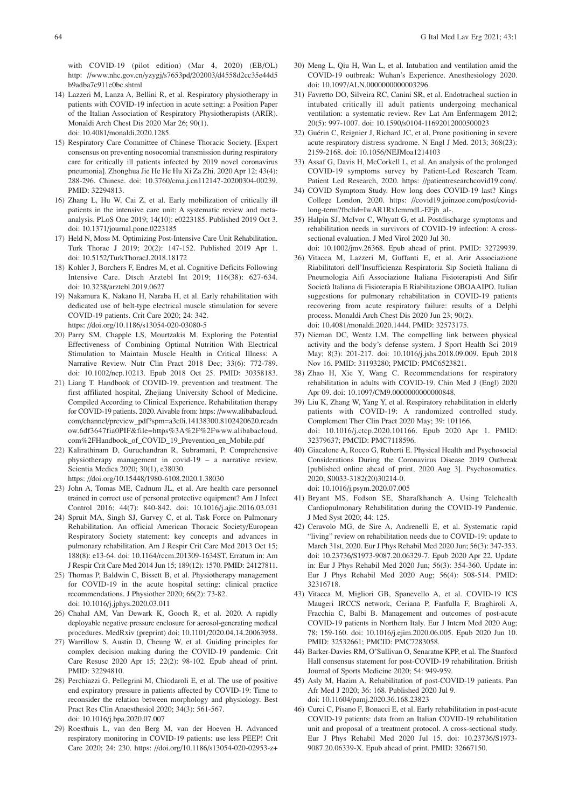with COVID-19 (pilot edition) (Mar 4, 2020) (EB/OL) http: //www.nhc.gov.cn/yzygj/s7653pd/202003/d4558d2cc35e44d5 b9adba7c911e0bc.shtml

- 14) Lazzeri M, Lanza A, Bellini R, et al. Respiratory physiotherapy in patients with COVID-19 infection in acute setting: a Position Paper of the Italian Association of Respiratory Physiotherapists (ARIR). Monaldi Arch Chest Dis 2020 Mar 26; 90(1). doi: 10.4081/monaldi.2020.1285.
- 15) Respiratory Care Committee of Chinese Thoracic Society. [Expert consensus on preventing nosocomial transmission during respiratory care for critically ill patients infected by 2019 novel coronavirus pneumonia]. Zhonghua Jie He He Hu Xi Za Zhi. 2020 Apr 12; 43(4): 288-296. Chinese. doi: 10.3760/cma.j.cn112147-20200304-00239. PMID: 32294813.
- 16) Zhang L, Hu W, Cai Z, et al. Early mobilization of critically ill patients in the intensive care unit: A systematic review and metaanalysis. PLoS One 2019; 14(10): e0223185. Published 2019 Oct 3. doi: 10.1371/journal.pone.0223185
- 17) Held N, Moss M. Optimizing Post-Intensive Care Unit Rehabilitation. Turk Thorac J 2019; 20(2): 147-152. Published 2019 Apr 1. doi: 10.5152/TurkThoracJ.2018.18172
- 18) Kohler J, Borchers F, Endres M, et al. Cognitive Deficits Following Intensive Care. Dtsch Arztebl Int 2019; 116(38): 627-634. doi: 10.3238/arztebl.2019.0627
- 19) Nakamura K, Nakano H, Naraba H, et al. Early rehabilitation with dedicated use of belt-type electrical muscle stimulation for severe COVID-19 patients. Crit Care 2020; 24: 342. https: //doi.org/10.1186/s13054-020-03080-5
- 20) Parry SM, Chapple LS, Mourtzakis M. Exploring the Potential Effectiveness of Combining Optimal Nutrition With Electrical Stimulation to Maintain Muscle Health in Critical Illness: A Narrative Review. Nutr Clin Pract 2018 Dec; 33(6): 772-789. doi: 10.1002/ncp.10213. Epub 2018 Oct 25. PMID: 30358183.
- 21) Liang T. Handbook of COVID-19, prevention and treatment. The first affiliated hospital, Zhejiang University School of Medicine. Compiled According to Clinical Experience. Rehabilitation therapy for COVID-19 patients. 2020. Aivable from: https: //www.alibabacloud. com/channel/preview\_pdf?spm=a3c0i.14138300.8102420620.readn ow.6df3647fia0PIF&file=https%3A%2F%2Fwww.alibabacloud. com%2FHandbook\_of\_COVID\_19\_Prevention\_en\_Mobile.pdf
- 22) Kalirathinam D, Guruchandran R, Subramani, P. Comprehensive physiotherapy management in covid-19 – a narrative review. Scientia Medica 2020; 30(1), e38030. https: //doi.org/10.15448/1980-6108.2020.1.38030
- 23) John A, Tomas ME, Cadnum JL, et al. Are health care personnel trained in correct use of personal protective equipment? Am J Infect Control 2016; 44(7): 840-842. doi: 10.1016/j.ajic.2016.03.031
- 24) Spruit MA, Singh SJ, Garvey C, et al. Task Force on Pulmonary Rehabilitation. An official American Thoracic Society/European Respiratory Society statement: key concepts and advances in pulmonary rehabilitation. Am J Respir Crit Care Med 2013 Oct 15; 188(8): e13-64. doi: 10.1164/rccm.201309-1634ST. Erratum in: Am J Respir Crit Care Med 2014 Jun 15; 189(12): 1570. PMID: 24127811.
- 25) Thomas P, Baldwin C, Bissett B, et al. Physiotherapy management for COVID-19 in the acute hospital setting: clinical practice recommendations. J Physiother 2020; 66(2): 73-82. doi: 10.1016/j.jphys.2020.03.011
- 26) Chahal AM, Van Dewark K, Gooch R, et al. 2020. A rapidly deployable negative pressure enclosure for aerosol-generating medical procedures. MedRxiv (preprint) doi: 10.1101/2020.04.14.20063958.
- 27) Warrillow S, Austin D, Cheung W, et al. Guiding principles for complex decision making during the COVID-19 pandemic. Crit Care Resusc 2020 Apr 15; 22(2): 98-102. Epub ahead of print. PMID: 32294810.
- 28) Perchiazzi G, Pellegrini M, Chiodaroli E, et al. The use of positive end expiratory pressure in patients affected by COVID-19: Time to reconsider the relation between morphology and physiology. Best Pract Res Clin Anaesthesiol 2020; 34(3): 561-567. doi: 10.1016/j.bpa.2020.07.007
- 29) Roesthuis L, van den Berg M, van der Hoeven H. Advanced respiratory monitoring in COVID-19 patients: use less PEEP! Crit Care 2020; 24: 230. https: //doi.org/10.1186/s13054-020-02953-z+
- 30) Meng L, Qiu H, Wan L, et al. Intubation and ventilation amid the COVID-19 outbreak: Wuhan's Experience. Anesthesiology 2020. doi: 10.1097/ALN.0000000000003296.
- 31) Favretto DO, Silveira RC, Canini SR, et al. Endotracheal suction in intubated critically ill adult patients undergoing mechanical ventilation: a systematic review. Rev Lat Am Enfermagem 2012; 20(5): 997-1007. doi: 10.1590/s0104-11692012000500023
- 32) Guérin C, Reignier J, Richard JC, et al. Prone positioning in severe acute respiratory distress syndrome. N Engl J Med. 2013; 368(23): 2159-2168. doi: 10.1056/NEJMoa1214103
- 33) Assaf G, Davis H, McCorkell L, et al. An analysis of the prolonged COVID-19 symptoms survey by Patient-Led Research Team. Patient Led Research, 2020. https: //patientresearchcovid19.com/.
- 34) COVID Symptom Study. How long does COVID-19 last? Kings College London, 2020. https: //covid19.joinzoe.com/post/covidlong-term?fbclid=IwAR1RxIcmmdL-EFjh\_aI-.
- 35) Halpin SJ, McIvor C, Whyatt G, et al. Postdischarge symptoms and rehabilitation needs in survivors of COVID-19 infection: A crosssectional evaluation. J Med Virol 2020 Jul 30.

doi: 10.1002/jmv.26368. Epub ahead of print. PMID: 32729939.

- 36) Vitacca M, Lazzeri M, Guffanti E, et al. Arir Associazione Riabilitatori dell'Insufficienza Respiratoria Sip Società Italiana di Pneumologia Aifi Associazione Italiana Fisioterapisti And Sifir Società Italiana di Fisioterapia E Riabilitazione OBOAAIPO. Italian suggestions for pulmonary rehabilitation in COVID-19 patients recovering from acute respiratory failure: results of a Delphi process. Monaldi Arch Chest Dis 2020 Jun 23; 90(2). doi: 10.4081/monaldi.2020.1444. PMID: 32573175.
- 37) Nieman DC, Wentz LM. The compelling link between physical activity and the body's defense system. J Sport Health Sci 2019 May; 8(3): 201-217. doi: 10.1016/j.jshs.2018.09.009. Epub 2018 Nov 16. PMID: 31193280; PMCID: PMC6523821.
- 38) Zhao H, Xie Y, Wang C. Recommendations for respiratory rehabilitation in adults with COVID-19. Chin Med J (Engl) 2020 Apr 09. doi: 10.1097/CM9.00000000000000848.
- 39) Liu K, Zhang W, Yang Y, et al. Respiratory rehabilitation in elderly patients with COVID-19: A randomized controlled study. Complement Ther Clin Pract 2020 May; 39: 101166. doi: 10.1016/j.ctcp.2020.101166. Epub 2020 Apr 1. PMID: 32379637; PMCID: PMC7118596.
- 40) Giacalone A, Rocco G, Ruberti E. Physical Health and Psychosocial Considerations During the Coronavirus Disease 2019 Outbreak [published online ahead of print, 2020 Aug 3]. Psychosomatics. 2020; S0033-3182(20)30214-0. doi: 10.1016/j.psym.2020.07.005
- 41) Bryant MS, Fedson SE, Sharafkhaneh A. Using Telehealth Cardiopulmonary Rehabilitation during the COVID-19 Pandemic. J Med Syst 2020; 44: 125.
- 42) Ceravolo MG, de Sire A, Andrenelli E, et al. Systematic rapid "living" review on rehabilitation needs due to COVID-19: update to March 31st, 2020. Eur J Phys Rehabil Med 2020 Jun; 56(3): 347-353. doi: 10.23736/S1973-9087.20.06329-7. Epub 2020 Apr 22. Update in: Eur J Phys Rehabil Med 2020 Jun; 56(3): 354-360. Update in: Eur J Phys Rehabil Med 2020 Aug; 56(4): 508-514. PMID: 32316718.
- 43) Vitacca M, Migliori GB, Spanevello A, et al. COVID-19 ICS Maugeri IRCCS network, Ceriana P, Fanfulla F, Braghiroli A, Fracchia C, Balbi B. Management and outcomes of post-acute COVID-19 patients in Northern Italy. Eur J Intern Med 2020 Aug; 78: 159-160. doi: 10.1016/j.ejim.2020.06.005. Epub 2020 Jun 10. PMID: 32532661; PMCID: PMC7283058.
- 44) Barker-Davies RM, O'Sullivan O, Senaratne KPP, et al. The Stanford Hall consensus statement for post-COVID-19 rehabilitation. British Journal of Sports Medicine 2020; 54: 949-959.
- 45) Asly M, Hazim A. Rehabilitation of post-COVID-19 patients. Pan Afr Med J 2020; 36: 168. Published 2020 Jul 9. doi: 10.11604/pamj.2020.36.168.23823
- 46) Curci C, Pisano F, Bonacci E, et al. Early rehabilitation in post-acute COVID-19 patients: data from an Italian COVID-19 rehabilitation unit and proposal of a treatment protocol. A cross-sectional study. Eur J Phys Rehabil Med 2020 Jul 15. doi: 10.23736/S1973- 9087.20.06339-X. Epub ahead of print. PMID: 32667150.